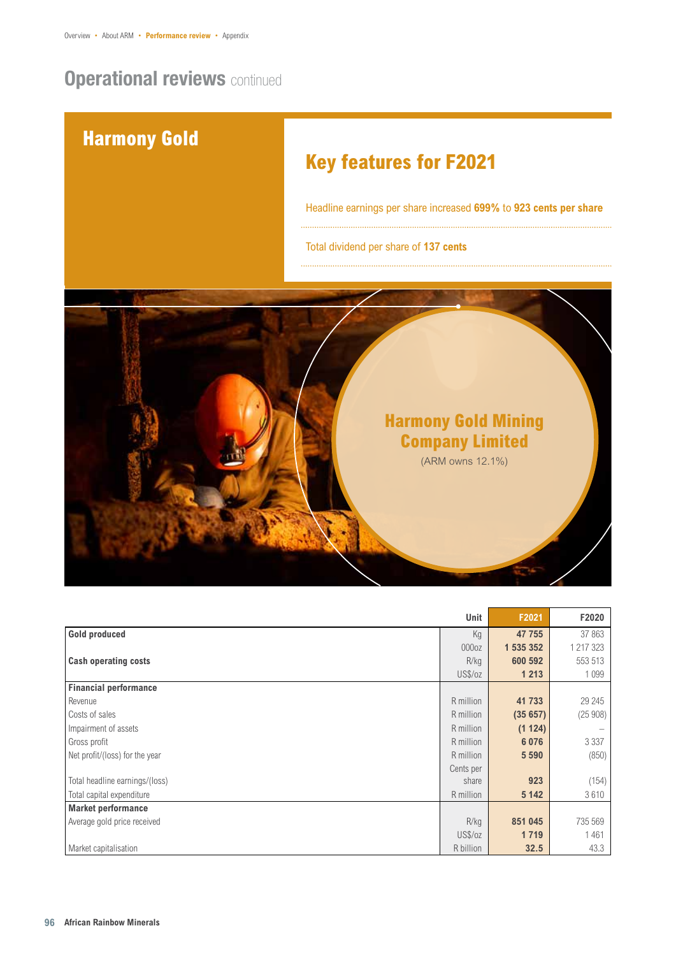## **Operational reviews continued**



|                                | Unit              | F2021     | F2020     |
|--------------------------------|-------------------|-----------|-----------|
| <b>Gold produced</b>           | Kg                | 47 755    | 37863     |
|                                | 000 <sub>oz</sub> | 1 535 352 | 1 217 323 |
| <b>Cash operating costs</b>    | R/kg              | 600 592   | 553 513   |
|                                | US\$/oz           | 1 2 1 3   | 1099      |
| <b>Financial performance</b>   |                   |           |           |
| Revenue                        | R million         | 41 733    | 29 245    |
| Costs of sales                 | R million         | (35657)   | (25908)   |
| Impairment of assets           | R million         | (1124)    |           |
| Gross profit                   | R million         | 6076      | 3 3 3 7   |
| Net profit/(loss) for the year | R million         | 5 5 9 0   | (850)     |
|                                | Cents per         |           |           |
| Total headline earnings/(loss) | share             | 923       | (154)     |
| Total capital expenditure      | R million         | 5 1 4 2   | 3610      |
| <b>Market performance</b>      |                   |           |           |
| Average gold price received    | R/kg              | 851 045   | 735 569   |
|                                | US\$/oz           | 1719      | 1461      |
| Market capitalisation          | R billion         | 32.5      | 43.3      |